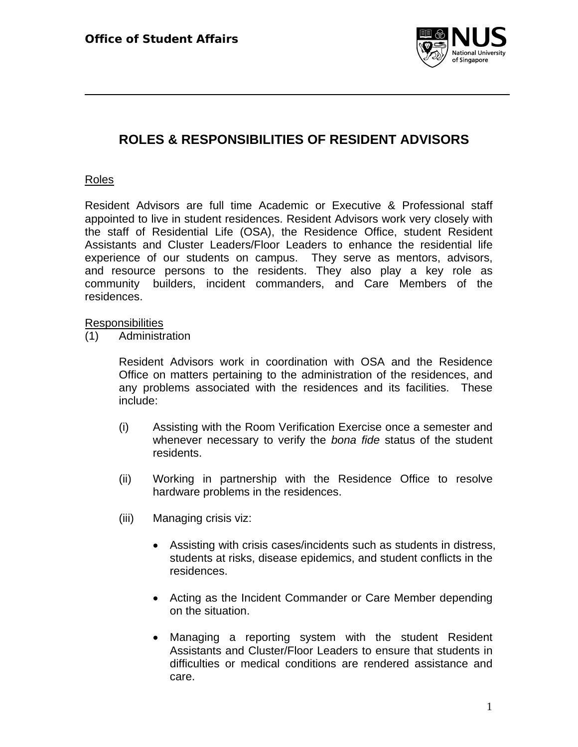

# **ROLES & RESPONSIBILITIES OF RESIDENT ADVISORS**

## Roles

Resident Advisors are full time Academic or Executive & Professional staff appointed to live in student residences. Resident Advisors work very closely with the staff of Residential Life (OSA), the Residence Office, student Resident Assistants and Cluster Leaders/Floor Leaders to enhance the residential life experience of our students on campus. They serve as mentors, advisors, and resource persons to the residents. They also play a key role as community builders, incident commanders, and Care Members of the residences.

**Responsibilities** 

Administration

Resident Advisors work in coordination with OSA and the Residence Office on matters pertaining to the administration of the residences, and any problems associated with the residences and its facilities. These include:

- (i) Assisting with the Room Verification Exercise once a semester and whenever necessary to verify the *bona fide* status of the student residents.
- (ii) Working in partnership with the Residence Office to resolve hardware problems in the residences.
- (iii) Managing crisis viz:
	- Assisting with crisis cases/incidents such as students in distress, students at risks, disease epidemics, and student conflicts in the residences.
	- Acting as the Incident Commander or Care Member depending on the situation.
	- Managing a reporting system with the student Resident Assistants and Cluster/Floor Leaders to ensure that students in difficulties or medical conditions are rendered assistance and care.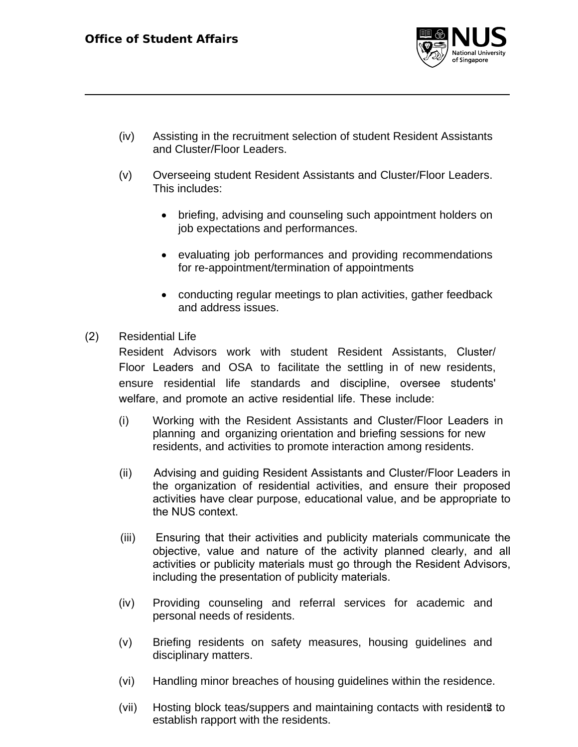

- (iv) Assisting in the recruitment selection of student Resident Assistants and Cluster/Floor Leaders.
- (v) Overseeing student Resident Assistants and Cluster/Floor Leaders. This includes:
	- briefing, advising and counseling such appointment holders on job expectations and performances.
	- evaluating job performances and providing recommendations for re-appointment/termination of appointments
	- conducting regular meetings to plan activities, gather feedback and address issues.
- (2) Residential Life

Resident Advisors work with student Resident Assistants, Cluster/ Floor Leaders and OSA to facilitate the settling in of new residents, ensure residential life standards and discipline, oversee students' welfare, and promote an active residential life. These include:

- (i) Working with the Resident Assistants and Cluster/Floor Leaders in planning and organizing orientation and briefing sessions for new residents, and activities to promote interaction among residents.
- (ii) Advising and guiding Resident Assistants and Cluster/Floor Leaders in the organization of residential activities, and ensure their proposed activities have clear purpose, educational value, and be appropriate to the NUS context.
- (iii) Ensuring that their activities and publicity materials communicate the objective, value and nature of the activity planned clearly, and all activities or publicity materials must go through the Resident Advisors, including the presentation of publicity materials.
- (iv) Providing counseling and referral services for academic and personal needs of residents.
- (v) Briefing residents on safety measures, housing guidelines and disciplinary matters.
- (vi) Handling minor breaches of housing guidelines within the residence.
- (vii) Hosting block teas/suppers and maintaining contacts with resident **3** to establish rapport with the residents.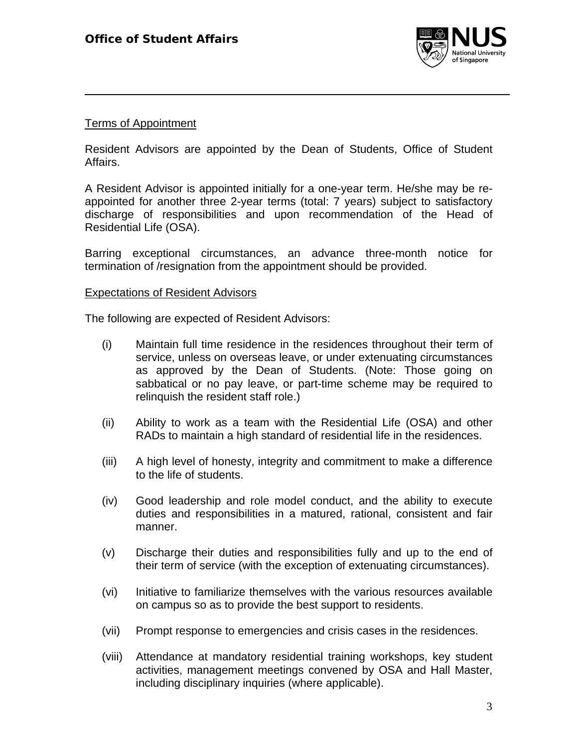

## Terms of Appointment

Resident Advisors are appointed by the Dean of Students, Office of Student Affairs.

A Resident Advisor is appointed initially for a one-year term. He/she may be reappointed for another three 2-year terms (total: 7 years) subject to satisfactory discharge of responsibilities and upon recommendation of the Head of Residential Life (OSA).

Barring exceptional circumstances, an advance three-month notice for termination of /resignation from the appointment should be provided.

#### Expectations of Resident Advisors

The following are expected of Resident Advisors:

- (i) Maintain full time residence in the residences throughout their term of service, unless on overseas leave, or under extenuating circumstances as approved by the Dean of Students. (Note: Those going on sabbatical or no pay leave, or part-time scheme may be required to relinquish the resident staff role.)
- (ii) Ability to work as a team with the Residential Life (OSA) and other RADs to maintain a high standard of residential life in the residences.
- (iii) A high level of honesty, integrity and commitment to make a difference to the life of students.
- (iv) Good leadership and role model conduct, and the ability to execute duties and responsibilities in a matured, rational, consistent and fair manner.
- (v) Discharge their duties and responsibilities fully and up to the end of their term of service (with the exception of extenuating circumstances).
- (vi) Initiative to familiarize themselves with the various resources available on campus so as to provide the best support to residents.
- (vii) Prompt response to emergencies and crisis cases in the residences.
- (viii) Attendance at mandatory residential training workshops, key student activities, management meetings convened by OSA and Hall Master, including disciplinary inquiries (where applicable).